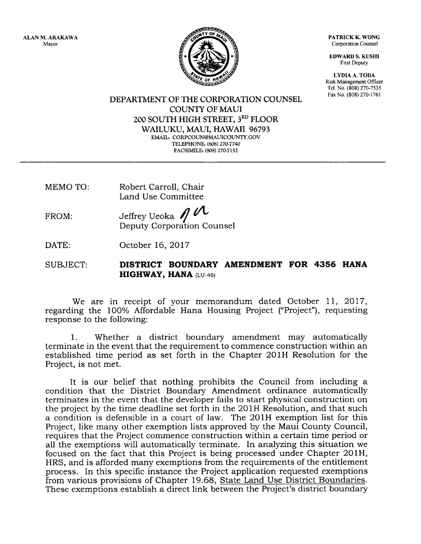ALAN M, ARAKAWA Mayor



PATRICK K.WONG Corporation Counsel

EDWARD S. KUSHI First Deputy

LYDIA A. TODA Rrsk Management Officer Tel. No. (808) 270-7535 Fax No. (808) 270-1761

DEPARTMENT OF THE CORPORATION COUNSEL COLINTY OF MAUI 2OO SOUTH HIGH STREET, 3RD FLOOR WAILUKU, MAUI, HAWAII 96793 EMAIL: CORPCOUN@MAUICOUNTY.GOV TELEPHONE: (808) 270-7740 FACSIMILE: (808) 270-7152

MEMO TO: Robert Carroll, Chair Land Use Committee

FROM: Jeffrey Ueoka  $\bigwedge$ Deputy Corporation Counsel

DATE: October 16,2Ol7

SUBJECT: DISTRICT BOUNDARY AMENDMENT FOR 4356 HANA HIGHWAY, HANA (LU-46)

We are in receipt of your memorandum dated October 11, 2017, regarding the 100% Affordable Hana Housing Project ("Project"), requesting response to the following:

1. Whether a district boundary amendment may automatically terminate in the event that the requirement to commence construction within an established time period as set forth in the Chapter 2OlH Resolution for the Project, is not met.

It is our belief that nothing prohibits the Council from including <sup>a</sup> condition that the District Boundary Amendment ordinance automatically terminates in the event that the developer fails to start physical construction on the project by the time deadline set forth in the 2OlH Resolution, and that such a condition is defensible in a court of law. The 201H exemption list for this Project, like many other exemption lists approved by the Maui County Council, requires that the Project commence construction within a certain time period or all the exemptions will automatically terminate. In analyzing this situation we focused on the fact that this Project is being processed under Chapter 2OIH, HRS, and is afforded many exemptions from the requirements of the entitlement process. In this specific instance the Project application requested exemptions from various provisions of Chapter 19.68, State Land Use District Boundaries. These exemptions establish a direct link between the Project's district boundary